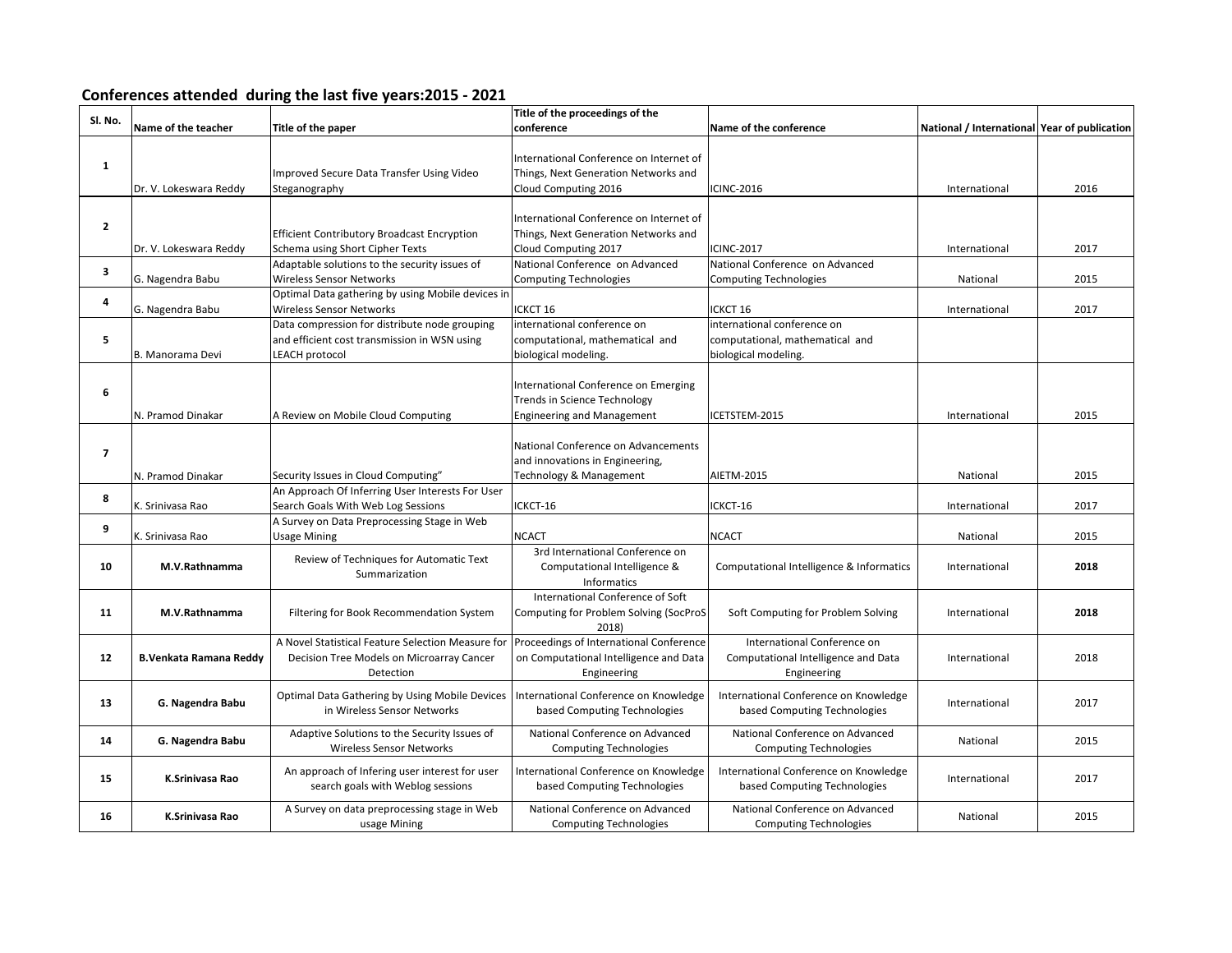## **Conferences attended during the last five years:2015 - 2021**

| Sl. No.      |                         |                                                    | Title of the proceedings of the         |                                          |                                              |      |
|--------------|-------------------------|----------------------------------------------------|-----------------------------------------|------------------------------------------|----------------------------------------------|------|
|              | Name of the teacher     | Title of the paper                                 | conference                              | Name of the conference                   | National / International Year of publication |      |
|              |                         |                                                    |                                         |                                          |                                              |      |
| $\mathbf{1}$ |                         |                                                    | International Conference on Internet of |                                          |                                              |      |
|              |                         | Improved Secure Data Transfer Using Video          | Things, Next Generation Networks and    |                                          |                                              |      |
|              | Dr. V. Lokeswara Reddy  | Steganography                                      | Cloud Computing 2016                    | <b>ICINC-2016</b>                        | International                                | 2016 |
|              |                         |                                                    |                                         |                                          |                                              |      |
| $\mathbf{z}$ |                         |                                                    | International Conference on Internet of |                                          |                                              |      |
|              |                         | <b>Efficient Contributory Broadcast Encryption</b> | Things, Next Generation Networks and    |                                          |                                              |      |
|              | Dr. V. Lokeswara Reddy  | Schema using Short Cipher Texts                    | Cloud Computing 2017                    | <b>ICINC-2017</b>                        | International                                | 2017 |
| 3            |                         | Adaptable solutions to the security issues of      | National Conference on Advanced         | National Conference on Advanced          |                                              |      |
|              | G. Nagendra Babu        | Wireless Sensor Networks                           | <b>Computing Technologies</b>           | <b>Computing Technologies</b>            | National                                     | 2015 |
| 4            |                         | Optimal Data gathering by using Mobile devices in  |                                         |                                          |                                              |      |
|              | G. Nagendra Babu        | Wireless Sensor Networks                           | ICKCT 16                                | ICKCT 16                                 | International                                | 2017 |
|              |                         | Data compression for distribute node grouping      | international conference on             | international conference on              |                                              |      |
| 5            |                         | and efficient cost transmission in WSN using       | computational, mathematical and         | computational, mathematical and          |                                              |      |
|              | B. Manorama Devi        | <b>LEACH protocol</b>                              | biological modeling.                    | biological modeling.                     |                                              |      |
|              |                         |                                                    |                                         |                                          |                                              |      |
|              |                         |                                                    | International Conference on Emerging    |                                          |                                              |      |
| 6            |                         |                                                    | <b>Trends in Science Technology</b>     |                                          |                                              |      |
|              | N. Pramod Dinakar       | A Review on Mobile Cloud Computing                 | <b>Engineering and Management</b>       | ICETSTEM-2015                            | International                                | 2015 |
|              |                         |                                                    |                                         |                                          |                                              |      |
|              |                         |                                                    | National Conference on Advancements     |                                          |                                              |      |
| 7            |                         |                                                    | and innovations in Engineering,         |                                          |                                              |      |
|              | N. Pramod Dinakar       | Security Issues in Cloud Computing"                | Technology & Management                 | AIETM-2015                               | National                                     | 2015 |
|              |                         | An Approach Of Inferring User Interests For User   |                                         |                                          |                                              |      |
| 8            | K. Srinivasa Rao        | Search Goals With Web Log Sessions                 | ICKCT-16                                | ICKCT-16                                 | International                                | 2017 |
|              |                         | A Survey on Data Preprocessing Stage in Web        |                                         |                                          |                                              |      |
| 9            | K. Srinivasa Rao        | <b>Usage Mining</b>                                | <b>NCACT</b>                            | <b>NCACT</b>                             | National                                     | 2015 |
|              |                         |                                                    | 3rd International Conference on         |                                          |                                              |      |
| 10           | M.V.Rathnamma           | Review of Techniques for Automatic Text            | Computational Intelligence &            | Computational Intelligence & Informatics | International                                | 2018 |
|              |                         | Summarization                                      | <b>Informatics</b>                      |                                          |                                              |      |
|              |                         |                                                    | International Conference of Soft        |                                          |                                              |      |
| 11           | M.V.Rathnamma           | Filtering for Book Recommendation System           | Computing for Problem Solving (SocProS  | Soft Computing for Problem Solving       | International                                | 2018 |
|              |                         |                                                    | 2018)                                   |                                          |                                              |      |
|              |                         | A Novel Statistical Feature Selection Measure for  | Proceedings of International Conference | International Conference on              |                                              |      |
| 12           | B. Venkata Ramana Reddy | Decision Tree Models on Microarray Cancer          | on Computational Intelligence and Data  | Computational Intelligence and Data      | International                                | 2018 |
|              |                         | Detection                                          | Engineering                             | Engineering                              |                                              |      |
|              |                         |                                                    |                                         |                                          |                                              |      |
| 13           | G. Nagendra Babu        | Optimal Data Gathering by Using Mobile Devices     | International Conference on Knowledge   | International Conference on Knowledge    | International                                | 2017 |
|              |                         | in Wireless Sensor Networks                        | based Computing Technologies            | based Computing Technologies             |                                              |      |
|              |                         | Adaptive Solutions to the Security Issues of       | National Conference on Advanced         | National Conference on Advanced          |                                              |      |
| 14           | G. Nagendra Babu        | <b>Wireless Sensor Networks</b>                    | <b>Computing Technologies</b>           | <b>Computing Technologies</b>            | National                                     | 2015 |
|              |                         |                                                    |                                         |                                          |                                              |      |
| 15           | K.Srinivasa Rao         | An approach of Infering user interest for user     | International Conference on Knowledge   | International Conference on Knowledge    | International                                | 2017 |
|              |                         | search goals with Weblog sessions                  | based Computing Technologies            | based Computing Technologies             |                                              |      |
|              |                         | A Survey on data preprocessing stage in Web        | National Conference on Advanced         | National Conference on Advanced          |                                              |      |
| 16           | K.Srinivasa Rao         | usage Mining                                       | <b>Computing Technologies</b>           | <b>Computing Technologies</b>            | National                                     | 2015 |
|              |                         |                                                    |                                         |                                          |                                              |      |